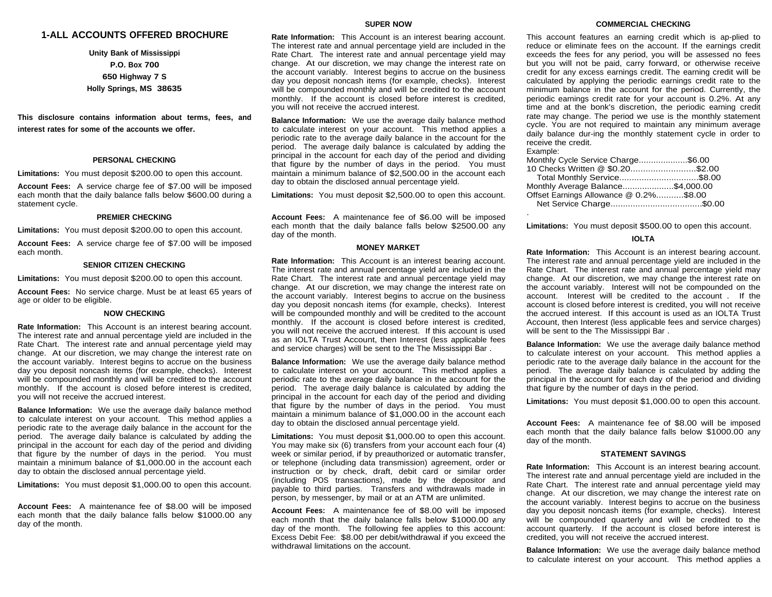# **1-ALL ACCOUNTS OFFERED BROCHURE**

**Unity Bank of Mississippi P.O. Box 700 650 Highway 7 S Holly Springs, MS 38635**

**This disclosure contains information about terms, fees, and interest rates for some of the accounts we offer.**

## **PERSONAL CHECKING**

**Limitations:** You must deposit \$200.00 to open this account.

**Account Fees:** A service charge fee of \$7.00 will be imposed each month that the daily balance falls below \$600.00 during a statement cycle.

## **PREMIER CHECKING**

**Limitations:** You must deposit \$200.00 to open this account.

**Account Fees:** A service charge fee of \$7.00 will be imposed each month.

#### **SENIOR CITIZEN CHECKING**

**Limitations:** You must deposit \$200.00 to open this account.

**Account Fees:** No service charge. Must be at least 65 years of age or older to be eligible.

# **NOW CHECKING**

**Rate Information:** This Account is an interest bearing account. The interest rate and annual percentage yield are included in the Rate Chart. The interest rate and annual percentage yield may change. At our discretion, we may change the interest rate on the account variably. Interest begins to accrue on the business day you deposit noncash items (for example, checks). Interest will be compounded monthly and will be credited to the account monthly. If the account is closed before interest is credited, you will not receive the accrued interest.

**Balance Information:** We use the average daily balance method to calculate interest on your account. This method applies a periodic rate to the average daily balance in the account for the period. The average daily balance is calculated by adding the principal in the account for each day of the period and dividing that figure by the number of days in the period. You must maintain a minimum balance of \$1,000.00 in the account each day to obtain the disclosed annual percentage yield.

**Limitations:** You must deposit \$1,000.00 to open this account.

**Account Fees:** A maintenance fee of \$8.00 will be imposed each month that the daily balance falls below \$1000.00 any day of the month.

#### **SUPER NOW**

**Rate Information:** This Account is an interest bearing account. The interest rate and annual percentage yield are included in the Rate Chart. The interest rate and annual percentage yield may change. At our discretion, we may change the interest rate on the account variably. Interest begins to accrue on the business day you deposit noncash items (for example, checks). Interest will be compounded monthly and will be credited to the account monthly. If the account is closed before interest is credited, you will not receive the accrued interest.

**Balance Information:** We use the average daily balance method to calculate interest on your account. This method applies a periodic rate to the average daily balance in the account for the period. The average daily balance is calculated by adding the principal in the account for each day of the period and dividing that figure by the number of days in the period. You must maintain a minimum balance of \$2,500.00 in the account each day to obtain the disclosed annual percentage yield.

**Limitations:** You must deposit \$2,500.00 to open this account.

**Account Fees:** A maintenance fee of \$6.00 will be imposed each month that the daily balance falls below \$2500.00 any day of the month.

#### **MONEY MARKET**

**Rate Information:** This Account is an interest bearing account. The interest rate and annual percentage yield are included in the Rate Chart. The interest rate and annual percentage yield may change. At our discretion, we may change the interest rate on the account variably. Interest begins to accrue on the business day you deposit noncash items (for example, checks). Interest will be compounded monthly and will be credited to the account monthly. If the account is closed before interest is credited, you will not receive the accrued interest. If this account is used as an IOLTA Trust Account, then Interest (less applicable fees and service charges) will be sent to the The Mississippi Bar .

**Balance Information:** We use the average daily balance method to calculate interest on your account. This method applies a periodic rate to the average daily balance in the account for the period. The average daily balance is calculated by adding the principal in the account for each day of the period and dividing that figure by the number of days in the period. You must maintain a minimum balance of \$1,000.00 in the account each day to obtain the disclosed annual percentage yield.

**Limitations:** You must deposit \$1,000.00 to open this account. You may make six (6) transfers from your account each four (4) week or similar period, if by preauthorized or automatic transfer, or telephone (including data transmission) agreement, order or instruction or by check, draft, debit card or similar order (including POS transactions), made by the depositor and payable to third parties. Transfers and withdrawals made in person, by messenger, by mail or at an ATM are unlimited.

**Account Fees:** A maintenance fee of \$8.00 will be imposed each month that the daily balance falls below \$1000.00 any day of the month. The following fee applies to this account: Excess Debit Fee: \$8.00 per debit/withdrawal if you exceed the withdrawal limitations on the account.

This account features an earning credit which is ap-plied to reduce or eliminate fees on the account. If the earnings credit exceeds the fees for any period, you will be assessed no fees but you will not be paid, carry forward, or otherwise receive credit for any excess earnings credit. The earning credit will be calculated by applying the periodic earnings credit rate to the minimum balance in the account for the period. Currently, the periodic earnings credit rate for your account is 0.2%. At any time and at the bonk's discretion, the periodic earning credit rate may change. The period we use is the monthly statement cycle. You are not required to maintain any minimum average daily balance dur-ing the monthly statement cycle in order to receive the credit.

Example:

| Monthly Cycle Service Charge\$6.00     |  |
|----------------------------------------|--|
| 10 Checks Written @ \$0.20\$2.00       |  |
| Total Monthly Service\$8.00            |  |
| Monthly Average Balance\$4,000.00      |  |
| Offset Earnings Allowance @ 0.2%\$8.00 |  |
|                                        |  |
|                                        |  |

**Limitations:** You must deposit \$500.00 to open this account.

## **IOLTA**

**Rate Information:** This Account is an interest bearing account. The interest rate and annual percentage yield are included in the Rate Chart. The interest rate and annual percentage yield may change. At our discretion, we may change the interest rate on the account variably. Interest will not be compounded on the account. Interest will be credited to the account . If the account is closed before interest is credited, you will not receive the accrued interest. If this account is used as an IOLTA Trust Account, then Interest (less applicable fees and service charges) will be sent to the The Mississippi Bar .

**Balance Information:** We use the average daily balance method to calculate interest on your account. This method applies a periodic rate to the average daily balance in the account for the period. The average daily balance is calculated by adding the principal in the account for each day of the period and dividing that figure by the number of days in the period.

**Limitations:** You must deposit \$1,000.00 to open this account.

**Account Fees:** A maintenance fee of \$8.00 will be imposed each month that the daily balance falls below \$1000.00 any day of the month.

## **STATEMENT SAVINGS**

**Rate Information:** This Account is an interest bearing account. The interest rate and annual percentage yield are included in the Rate Chart. The interest rate and annual percentage yield may change. At our discretion, we may change the interest rate on the account variably. Interest begins to accrue on the business day you deposit noncash items (for example, checks). Interest will be compounded quarterly and will be credited to the account quarterly. If the account is closed before interest is credited, you will not receive the accrued interest.

**Balance Information:** We use the average daily balance method to calculate interest on your account. This method applies a

## **COMMERCIAL CHECKING**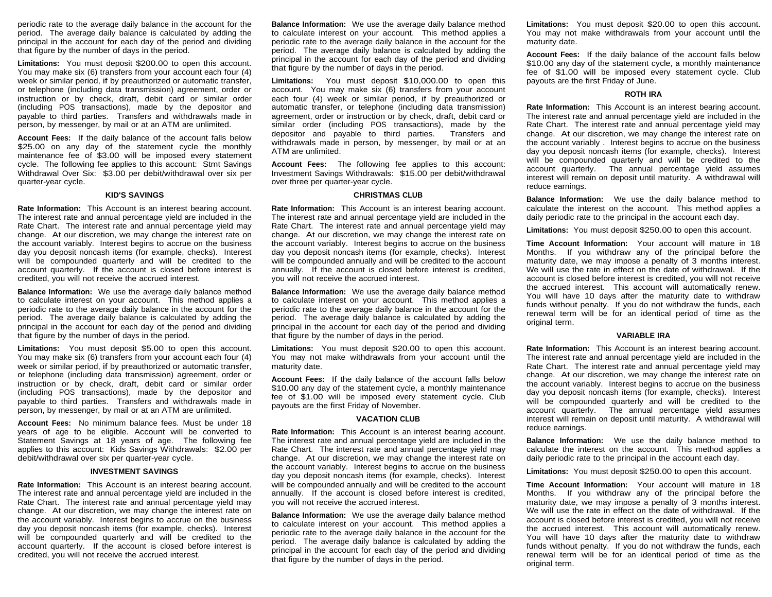periodic rate to the average daily balance in the account for the period. The average daily balance is calculated by adding the principal in the account for each day of the period and dividing that figure by the number of days in the period.

**Limitations:** You must deposit \$200.00 to open this account. You may make six (6) transfers from your account each four (4) week or similar period, if by preauthorized or automatic transfer, or telephone (including data transmission) agreement, order or instruction or by check, draft, debit card or similar order (including POS transactions), made by the depositor and payable to third parties. Transfers and withdrawals made in person, by messenger, by mail or at an ATM are unlimited.

**Account Fees:** If the daily balance of the account falls below \$25.00 on any day of the statement cycle the monthly maintenance fee of \$3.00 will be imposed every statement cycle. The following fee applies to this account: Stmt Savings Withdrawal Over Six: \$3.00 per debit/withdrawal over six per quarter-year cycle.

# **KID'S SAVINGS**

**Rate Information:** This Account is an interest bearing account. The interest rate and annual percentage yield are included in the Rate Chart. The interest rate and annual percentage yield may change. At our discretion, we may change the interest rate on the account variably. Interest begins to accrue on the business day you deposit noncash items (for example, checks). Interest will be compounded quarterly and will be credited to the account quarterly. If the account is closed before interest is credited, you will not receive the accrued interest.

**Balance Information:** We use the average daily balance method to calculate interest on your account. This method applies a periodic rate to the average daily balance in the account for the period. The average daily balance is calculated by adding the principal in the account for each day of the period and dividing that figure by the number of days in the period.

**Limitations:** You must deposit \$5.00 to open this account. You may make six (6) transfers from your account each four (4) week or similar period, if by preauthorized or automatic transfer, or telephone (including data transmission) agreement, order or instruction or by check, draft, debit card or similar order (including POS transactions), made by the depositor and payable to third parties. Transfers and withdrawals made in person, by messenger, by mail or at an ATM are unlimited.

**Account Fees:** No minimum balance fees. Must be under 18 years of age to be eligible. Account will be converted to Statement Savings at 18 years of age. The following fee applies to this account: Kids Savings Withdrawals: \$2.00 per debit/withdrawal over six per quarter-year cycle.

# **INVESTMENT SAVINGS**

**Rate Information:** This Account is an interest bearing account. The interest rate and annual percentage yield are included in the Rate Chart. The interest rate and annual percentage yield may change. At our discretion, we may change the interest rate on the account variably. Interest begins to accrue on the business day you deposit noncash items (for example, checks). Interest will be compounded quarterly and will be credited to the account quarterly. If the account is closed before interest is credited, you will not receive the accrued interest.

**Balance Information:** We use the average daily balance method to calculate interest on your account. This method applies a periodic rate to the average daily balance in the account for the period. The average daily balance is calculated by adding the principal in the account for each day of the period and dividing that figure by the number of days in the period.

**Limitations:** You must deposit \$10,000.00 to open this account. You may make six (6) transfers from your account each four (4) week or similar period, if by preauthorized or automatic transfer, or telephone (including data transmission) agreement, order or instruction or by check, draft, debit card or similar order (including POS transactions), made by the depositor and payable to third parties. Transfers and withdrawals made in person, by messenger, by mail or at an ATM are unlimited.

**Account Fees:** The following fee applies to this account: Investment Savings Withdrawals: \$15.00 per debit/withdrawal over three per quarter-year cycle.

## **CHRISTMAS CLUB**

**Rate Information:** This Account is an interest bearing account. The interest rate and annual percentage yield are included in the Rate Chart. The interest rate and annual percentage yield may change. At our discretion, we may change the interest rate on the account variably. Interest begins to accrue on the business day you deposit noncash items (for example, checks). Interest will be compounded annually and will be credited to the account annually. If the account is closed before interest is credited, you will not receive the accrued interest.

**Balance Information:** We use the average daily balance method to calculate interest on your account. This method applies a periodic rate to the average daily balance in the account for the period. The average daily balance is calculated by adding the principal in the account for each day of the period and dividing that figure by the number of days in the period.

**Limitations:** You must deposit \$20.00 to open this account. You may not make withdrawals from your account until the maturity date.

**Account Fees:** If the daily balance of the account falls below \$10.00 any day of the statement cycle, a monthly maintenance fee of \$1.00 will be imposed every statement cycle. Club payouts are the first Friday of November.

#### **VACATION CLUB**

**Rate Information:** This Account is an interest bearing account. The interest rate and annual percentage yield are included in the Rate Chart. The interest rate and annual percentage yield may change. At our discretion, we may change the interest rate on the account variably. Interest begins to accrue on the business day you deposit noncash items (for example, checks). Interest will be compounded annually and will be credited to the account annually. If the account is closed before interest is credited, you will not receive the accrued interest.

**Balance Information:** We use the average daily balance method to calculate interest on your account. This method applies a periodic rate to the average daily balance in the account for the period. The average daily balance is calculated by adding the principal in the account for each day of the period and dividing that figure by the number of days in the period.

**Limitations:** You must deposit \$20.00 to open this account. You may not make withdrawals from your account until the maturity date.

**Account Fees:** If the daily balance of the account falls below \$10.00 any day of the statement cycle, a monthly maintenance fee of \$1.00 will be imposed every statement cycle. Club payouts are the first Friday of June.

#### **ROTH IRA**

**Rate Information:** This Account is an interest bearing account. The interest rate and annual percentage yield are included in the Rate Chart. The interest rate and annual percentage yield may change. At our discretion, we may change the interest rate on the account variably . Interest begins to accrue on the business day you deposit noncash items (for example, checks). Interest will be compounded quarterly and will be credited to the account quarterly. The annual percentage yield assumes interest will remain on deposit until maturity. A withdrawal will reduce earnings.

**Balance Information:** We use the daily balance method to calculate the interest on the account. This method applies a daily periodic rate to the principal in the account each day.

**Limitations:** You must deposit \$250.00 to open this account.

**Time Account Information:** Your account will mature in 18 Months. If you withdraw any of the principal before the maturity date, we may impose a penalty of 3 months interest. We will use the rate in effect on the date of withdrawal. If the account is closed before interest is credited, you will not receive the accrued interest. This account will automatically renew. You will have 10 days after the maturity date to withdraw funds without penalty. If you do not withdraw the funds, each renewal term will be for an identical period of time as the original term.

#### **VARIABLE IRA**

**Rate Information:** This Account is an interest bearing account. The interest rate and annual percentage yield are included in the Rate Chart. The interest rate and annual percentage yield may change. At our discretion, we may change the interest rate on the account variably. Interest begins to accrue on the business day you deposit noncash items (for example, checks). Interest will be compounded quarterly and will be credited to the account quarterly. The annual percentage yield assumes interest will remain on deposit until maturity. A withdrawal will reduce earnings.

**Balance Information:** We use the daily balance method to calculate the interest on the account. This method applies a daily periodic rate to the principal in the account each day.

**Limitations:** You must deposit \$250.00 to open this account.

**Time Account Information:** Your account will mature in 18 Months. If you withdraw any of the principal before the maturity date, we may impose a penalty of 3 months interest. We will use the rate in effect on the date of withdrawal. If the account is closed before interest is credited, you will not receive the accrued interest. This account will automatically renew. You will have 10 days after the maturity date to withdraw funds without penalty. If you do not withdraw the funds, each renewal term will be for an identical period of time as the original term.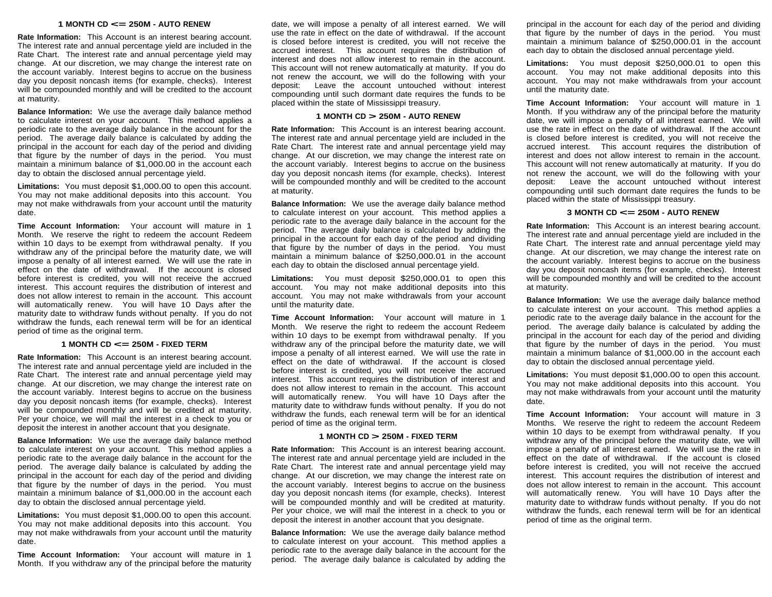# **<sup>1</sup> MONTH CD <= 250M - AUTO RENEW**

**Rate Information:** This Account is an interest bearing account. The interest rate and annual percentage yield are included in the Rate Chart. The interest rate and annual percentage yield may change. At our discretion, we may change the interest rate on the account variably. Interest begins to accrue on the business day you deposit noncash items (for example, checks). Interest will be compounded monthly and will be credited to the account at maturity.

**Balance Information:** We use the average daily balance method to calculate interest on your account. This method applies a periodic rate to the average daily balance in the account for the period. The average daily balance is calculated by adding the principal in the account for each day of the period and dividing that figure by the number of days in the period. You must maintain a minimum balance of \$1,000.00 in the account each day to obtain the disclosed annual percentage yield.

**Limitations:** You must deposit \$1,000.00 to open this account. You may not make additional deposits into this account. You may not make withdrawals from your account until the maturity date.

**Time Account Information:** Your account will mature in 1 Month. We reserve the right to redeem the account Redeem within 10 days to be exempt from withdrawal penalty. If you withdraw any of the principal before the maturity date, we will impose a penalty of all interest earned. We will use the rate in effect on the date of withdrawal. If the account is closed before interest is credited, you will not receive the accrued interest. This account requires the distribution of interest and does not allow interest to remain in the account. This account will automatically renew. You will have 10 Days after the maturity date to withdraw funds without penalty. If you do not withdraw the funds, each renewal term will be for an identical period of time as the original term.

# **<sup>1</sup> MONTH CD <= 250M - FIXED TERM**

**Rate Information:** This Account is an interest bearing account. The interest rate and annual percentage yield are included in the Rate Chart. The interest rate and annual percentage yield may change. At our discretion, we may change the interest rate on the account variably. Interest begins to accrue on the business day you deposit noncash items (for example, checks). Interest will be compounded monthly and will be credited at maturity. Per your choice, we will mail the interest in a check to you or deposit the interest in another account that you designate.

**Balance Information:** We use the average daily balance method to calculate interest on your account. This method applies a periodic rate to the average daily balance in the account for the period. The average daily balance is calculated by adding the principal in the account for each day of the period and dividing that figure by the number of days in the period. You must maintain a minimum balance of \$1,000.00 in the account each day to obtain the disclosed annual percentage yield.

**Limitations:** You must deposit \$1,000.00 to open this account. You may not make additional deposits into this account. You may not make withdrawals from your account until the maturity date.

**Time Account Information:** Your account will mature in 1 Month. If you withdraw any of the principal before the maturity

date, we will impose a penalty of all interest earned. We will use the rate in effect on the date of withdrawal. If the account is closed before interest is credited, you will not receive the accrued interest. This account requires the distribution of interest and does not allow interest to remain in the account. This account will not renew automatically at maturity. If you do not renew the account, we will do the following with your deposit: Leave the account untouched without interest compounding until such dormant date requires the funds to be placed within the state of Mississippi treasury.

# **<sup>1</sup> MONTH CD > 250M - AUTO RENEW**

**Rate Information:** This Account is an interest bearing account. The interest rate and annual percentage yield are included in the Rate Chart. The interest rate and annual percentage yield may change. At our discretion, we may change the interest rate on the account variably. Interest begins to accrue on the business day you deposit noncash items (for example, checks). Interest will be compounded monthly and will be credited to the account at maturity.

**Balance Information:** We use the average daily balance method to calculate interest on your account. This method applies a periodic rate to the average daily balance in the account for the period. The average daily balance is calculated by adding the principal in the account for each day of the period and dividing that figure by the number of days in the period. You must maintain a minimum balance of \$250,000.01 in the account each day to obtain the disclosed annual percentage yield.

**Limitations:** You must deposit \$250,000.01 to open this account. You may not make additional deposits into this account. You may not make withdrawals from your account until the maturity date.

**Time Account Information:** Your account will mature in 1 Month. We reserve the right to redeem the account Redeem within 10 days to be exempt from withdrawal penalty. If you withdraw any of the principal before the maturity date, we will impose a penalty of all interest earned. We will use the rate in effect on the date of withdrawal. If the account is closed before interest is credited, you will not receive the accrued interest. This account requires the distribution of interest and does not allow interest to remain in the account. This account will automatically renew. You will have 10 Days after the maturity date to withdraw funds without penalty. If you do not withdraw the funds, each renewal term will be for an identical period of time as the original term.

# **<sup>1</sup> MONTH CD > 250M - FIXED TERM**

**Rate Information:** This Account is an interest bearing account. The interest rate and annual percentage yield are included in the Rate Chart. The interest rate and annual percentage yield may change. At our discretion, we may change the interest rate on the account variably. Interest begins to accrue on the business day you deposit noncash items (for example, checks). Interest will be compounded monthly and will be credited at maturity. Per your choice, we will mail the interest in a check to you or deposit the interest in another account that you designate.

**Balance Information:** We use the average daily balance method to calculate interest on your account. This method applies a periodic rate to the average daily balance in the account for the period. The average daily balance is calculated by adding the principal in the account for each day of the period and dividing that figure by the number of days in the period. You must maintain a minimum balance of \$250,000.01 in the account each day to obtain the disclosed annual percentage yield.

**Limitations:** You must deposit \$250,000.01 to open this account. You may not make additional deposits into this account. You may not make withdrawals from your account until the maturity date.

**Time Account Information:** Your account will mature in 1 Month. If you withdraw any of the principal before the maturity date, we will impose a penalty of all interest earned. We will use the rate in effect on the date of withdrawal. If the account is closed before interest is credited, you will not receive the accrued interest. This account requires the distribution of interest and does not allow interest to remain in the account. This account will not renew automatically at maturity. If you do not renew the account, we will do the following with your deposit: Leave the account untouched without interest compounding until such dormant date requires the funds to be placed within the state of Mississippi treasury.

#### **<sup>3</sup> MONTH CD <= 250M - AUTO RENEW**

**Rate Information:** This Account is an interest bearing account. The interest rate and annual percentage yield are included in the Rate Chart. The interest rate and annual percentage yield may change. At our discretion, we may change the interest rate on the account variably. Interest begins to accrue on the business day you deposit noncash items (for example, checks). Interest will be compounded monthly and will be credited to the account at maturity.

**Balance Information:** We use the average daily balance method to calculate interest on your account. This method applies a periodic rate to the average daily balance in the account for the period. The average daily balance is calculated by adding the principal in the account for each day of the period and dividing that figure by the number of days in the period. You must maintain a minimum balance of \$1,000.00 in the account each day to obtain the disclosed annual percentage yield.

**Limitations:** You must deposit \$1,000.00 to open this account. You may not make additional deposits into this account. You may not make withdrawals from your account until the maturity date.

**Time Account Information:** Your account will mature in 3 Months. We reserve the right to redeem the account Redeem within 10 days to be exempt from withdrawal penalty. If you withdraw any of the principal before the maturity date, we will impose a penalty of all interest earned. We will use the rate in effect on the date of withdrawal. If the account is closed before interest is credited, you will not receive the accrued interest. This account requires the distribution of interest and does not allow interest to remain in the account. This account will automatically renew. You will have 10 Days after the maturity date to withdraw funds without penalty. If you do not withdraw the funds, each renewal term will be for an identical period of time as the original term.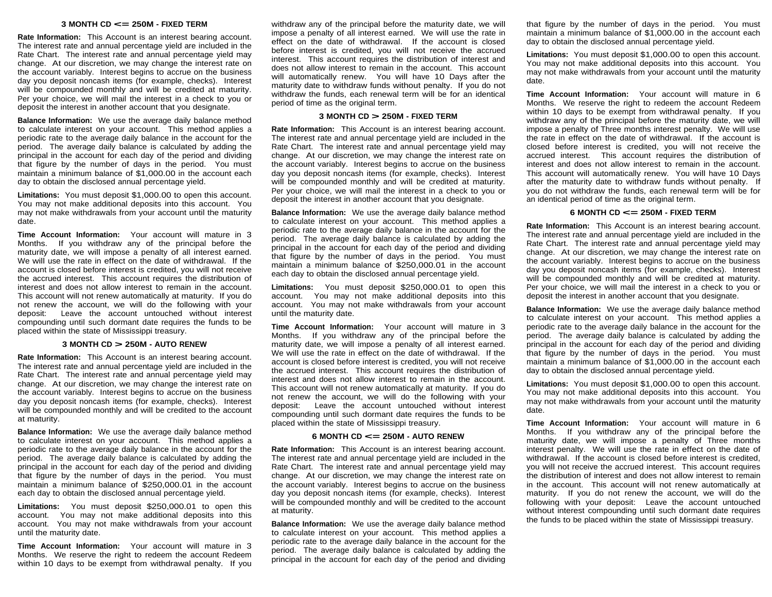# **<sup>3</sup> MONTH CD <= 250M - FIXED TERM**

**Rate Information:** This Account is an interest bearing account. The interest rate and annual percentage yield are included in the Rate Chart. The interest rate and annual percentage yield may change. At our discretion, we may change the interest rate on the account variably. Interest begins to accrue on the business day you deposit noncash items (for example, checks). Interest will be compounded monthly and will be credited at maturity. Per your choice, we will mail the interest in a check to you or deposit the interest in another account that you designate.

**Balance Information:** We use the average daily balance method to calculate interest on your account. This method applies a periodic rate to the average daily balance in the account for the period. The average daily balance is calculated by adding the principal in the account for each day of the period and dividing that figure by the number of days in the period. You must maintain a minimum balance of \$1,000.00 in the account each day to obtain the disclosed annual percentage yield.

**Limitations:** You must deposit \$1,000.00 to open this account. You may not make additional deposits into this account. You may not make withdrawals from your account until the maturity date.

**Time Account Information:** Your account will mature in 3 Months. If you withdraw any of the principal before the maturity date, we will impose a penalty of all interest earned. We will use the rate in effect on the date of withdrawal. If the account is closed before interest is credited, you will not receive the accrued interest. This account requires the distribution of interest and does not allow interest to remain in the account. This account will not renew automatically at maturity. If you do not renew the account, we will do the following with your deposit: Leave the account untouched without interest compounding until such dormant date requires the funds to be placed within the state of Mississippi treasury.

# **<sup>3</sup> MONTH CD > 250M - AUTO RENEW**

**Rate Information:** This Account is an interest bearing account. The interest rate and annual percentage yield are included in the Rate Chart. The interest rate and annual percentage yield may change. At our discretion, we may change the interest rate on the account variably. Interest begins to accrue on the business day you deposit noncash items (for example, checks). Interest will be compounded monthly and will be credited to the account at maturity.

**Balance Information:** We use the average daily balance method to calculate interest on your account. This method applies a periodic rate to the average daily balance in the account for the period. The average daily balance is calculated by adding the principal in the account for each day of the period and dividing that figure by the number of days in the period. You must maintain a minimum balance of \$250,000.01 in the account each day to obtain the disclosed annual percentage yield.

**Limitations:** You must deposit \$250,000.01 to open this account. You may not make additional deposits into this account. You may not make withdrawals from your account until the maturity date.

**Time Account Information:** Your account will mature in 3 Months. We reserve the right to redeem the account Redeem within 10 days to be exempt from withdrawal penalty. If you

withdraw any of the principal before the maturity date, we will impose a penalty of all interest earned. We will use the rate in effect on the date of withdrawal. If the account is closed before interest is credited, you will not receive the accrued interest. This account requires the distribution of interest and does not allow interest to remain in the account. This account will automatically renew. You will have 10 Days after the maturity date to withdraw funds without penalty. If you do not withdraw the funds, each renewal term will be for an identical period of time as the original term.

# **<sup>3</sup> MONTH CD > 250M - FIXED TERM**

**Rate Information:** This Account is an interest bearing account. The interest rate and annual percentage yield are included in the Rate Chart. The interest rate and annual percentage yield may change. At our discretion, we may change the interest rate on the account variably. Interest begins to accrue on the business day you deposit noncash items (for example, checks). Interest will be compounded monthly and will be credited at maturity. Per your choice, we will mail the interest in a check to you or deposit the interest in another account that you designate.

**Balance Information:** We use the average daily balance method to calculate interest on your account. This method applies a periodic rate to the average daily balance in the account for the period. The average daily balance is calculated by adding the principal in the account for each day of the period and dividing that figure by the number of days in the period. You must maintain a minimum balance of \$250,000.01 in the account each day to obtain the disclosed annual percentage yield.

**Limitations:** You must deposit \$250,000.01 to open this account. You may not make additional deposits into this account. You may not make withdrawals from your account until the maturity date.

**Time Account Information:** Your account will mature in 3 Months. If you withdraw any of the principal before the maturity date, we will impose a penalty of all interest earned. We will use the rate in effect on the date of withdrawal. If the account is closed before interest is credited, you will not receive the accrued interest. This account requires the distribution of interest and does not allow interest to remain in the account. This account will not renew automatically at maturity. If you do not renew the account, we will do the following with your deposit: Leave the account untouched without interest compounding until such dormant date requires the funds to be placed within the state of Mississippi treasury.

## **<sup>6</sup> MONTH CD <= 250M - AUTO RENEW**

**Rate Information:** This Account is an interest bearing account. The interest rate and annual percentage yield are included in the Rate Chart. The interest rate and annual percentage yield may change. At our discretion, we may change the interest rate on the account variably. Interest begins to accrue on the business day you deposit noncash items (for example, checks). Interest will be compounded monthly and will be credited to the account at maturity.

**Balance Information:** We use the average daily balance method to calculate interest on your account. This method applies a periodic rate to the average daily balance in the account for the period. The average daily balance is calculated by adding the principal in the account for each day of the period and dividing that figure by the number of days in the period. You must maintain a minimum balance of \$1,000.00 in the account each day to obtain the disclosed annual percentage yield.

**Limitations:** You must deposit \$1,000.00 to open this account. You may not make additional deposits into this account. You may not make withdrawals from your account until the maturity date.

**Time Account Information:** Your account will mature in 6 Months. We reserve the right to redeem the account Redeem within 10 days to be exempt from withdrawal penalty. If you withdraw any of the principal before the maturity date, we will impose a penalty of Three months interest penalty. We will use the rate in effect on the date of withdrawal. If the account is closed before interest is credited, you will not receive the accrued interest. This account requires the distribution of interest and does not allow interest to remain in the account. This account will automatically renew. You will have 10 Days after the maturity date to withdraw funds without penalty. If you do not withdraw the funds, each renewal term will be for an identical period of time as the original term.

# **<sup>6</sup> MONTH CD <= 250M - FIXED TERM**

**Rate Information:** This Account is an interest bearing account. The interest rate and annual percentage yield are included in the Rate Chart. The interest rate and annual percentage yield may change. At our discretion, we may change the interest rate on the account variably. Interest begins to accrue on the business day you deposit noncash items (for example, checks). Interest will be compounded monthly and will be credited at maturity. Per your choice, we will mail the interest in a check to you or deposit the interest in another account that you designate.

**Balance Information:** We use the average daily balance method to calculate interest on your account. This method applies a periodic rate to the average daily balance in the account for the period. The average daily balance is calculated by adding the principal in the account for each day of the period and dividing that figure by the number of days in the period. You must maintain a minimum balance of \$1,000.00 in the account each day to obtain the disclosed annual percentage yield.

**Limitations:** You must deposit \$1,000.00 to open this account. You may not make additional deposits into this account. You may not make withdrawals from your account until the maturity date.

**Time Account Information:** Your account will mature in 6 Months. If you withdraw any of the principal before the maturity date, we will impose a penalty of Three months interest penalty. We will use the rate in effect on the date of withdrawal. If the account is closed before interest is credited, you will not receive the accrued interest. This account requires the distribution of interest and does not allow interest to remain in the account. This account will not renew automatically at maturity. If you do not renew the account, we will do the following with your deposit: Leave the account untouched without interest compounding until such dormant date requires the funds to be placed within the state of Mississippi treasury.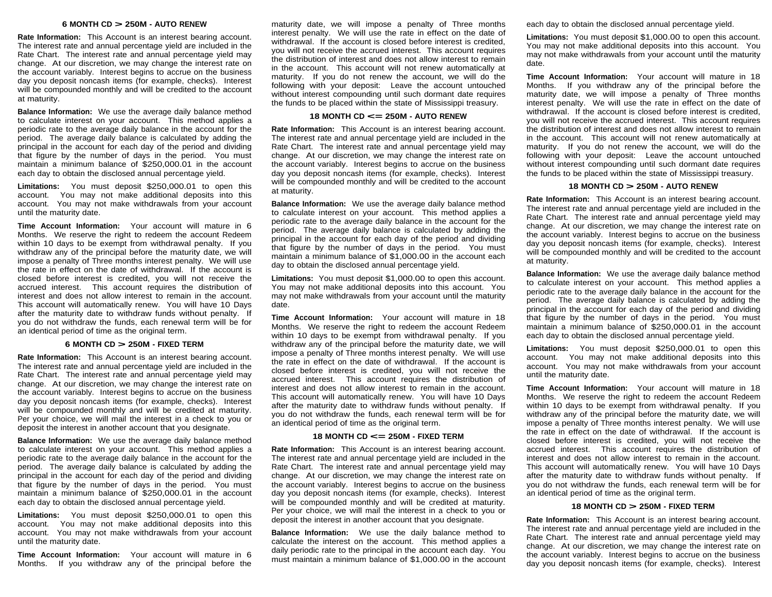# **<sup>6</sup> MONTH CD > 250M - AUTO RENEW**

**Rate Information:** This Account is an interest bearing account. The interest rate and annual percentage yield are included in the Rate Chart. The interest rate and annual percentage yield may change. At our discretion, we may change the interest rate on the account variably. Interest begins to accrue on the business day you deposit noncash items (for example, checks). Interest will be compounded monthly and will be credited to the account at maturity.

**Balance Information:** We use the average daily balance method to calculate interest on your account. This method applies a periodic rate to the average daily balance in the account for the period. The average daily balance is calculated by adding the principal in the account for each day of the period and dividing that figure by the number of days in the period. You must maintain a minimum balance of \$250,000.01 in the account each day to obtain the disclosed annual percentage yield.

**Limitations:** You must deposit \$250,000.01 to open this account. You may not make additional deposits into this account. You may not make withdrawals from your account until the maturity date.

**Time Account Information:** Your account will mature in 6 Months. We reserve the right to redeem the account Redeem within 10 days to be exempt from withdrawal penalty. If you withdraw any of the principal before the maturity date, we will impose a penalty of Three months interest penalty. We will use the rate in effect on the date of withdrawal. If the account is closed before interest is credited, you will not receive the accrued interest. This account requires the distribution of interest and does not allow interest to remain in the account. This account will automatically renew. You will have 10 Days after the maturity date to withdraw funds without penalty. If you do not withdraw the funds, each renewal term will be for an identical period of time as the original term.

#### **<sup>6</sup> MONTH CD > 250M - FIXED TERM**

**Rate Information:** This Account is an interest bearing account. The interest rate and annual percentage yield are included in the Rate Chart. The interest rate and annual percentage yield may change. At our discretion, we may change the interest rate on the account variably. Interest begins to accrue on the business day you deposit noncash items (for example, checks). Interest will be compounded monthly and will be credited at maturity. Per your choice, we will mail the interest in a check to you or deposit the interest in another account that you designate.

**Balance Information:** We use the average daily balance method to calculate interest on your account. This method applies a periodic rate to the average daily balance in the account for the period. The average daily balance is calculated by adding the principal in the account for each day of the period and dividing that figure by the number of days in the period. You must maintain a minimum balance of \$250,000.01 in the account each day to obtain the disclosed annual percentage yield.

**Limitations:** You must deposit \$250,000.01 to open this account. You may not make additional deposits into this account. You may not make withdrawals from your account until the maturity date.

**Time Account Information:** Your account will mature in 6 Months. If you withdraw any of the principal before the

maturity date, we will impose a penalty of Three months interest penalty. We will use the rate in effect on the date of withdrawal. If the account is closed before interest is credited, you will not receive the accrued interest. This account requires the distribution of interest and does not allow interest to remain in the account. This account will not renew automatically at maturity. If you do not renew the account, we will do the following with your deposit: Leave the account untouched without interest compounding until such dormant date requires the funds to be placed within the state of Mississippi treasury.

# **<sup>18</sup> MONTH CD <= 250M - AUTO RENEW**

**Rate Information:** This Account is an interest bearing account. The interest rate and annual percentage yield are included in the Rate Chart. The interest rate and annual percentage yield may change. At our discretion, we may change the interest rate on the account variably. Interest begins to accrue on the business day you deposit noncash items (for example, checks). Interest will be compounded monthly and will be credited to the account at maturity.

**Balance Information:** We use the average daily balance method to calculate interest on your account. This method applies a periodic rate to the average daily balance in the account for the period. The average daily balance is calculated by adding the principal in the account for each day of the period and dividing that figure by the number of days in the period. You must maintain a minimum balance of \$1,000.00 in the account each day to obtain the disclosed annual percentage yield.

**Limitations:** You must deposit \$1,000.00 to open this account. You may not make additional deposits into this account. You may not make withdrawals from your account until the maturity date.

**Time Account Information:** Your account will mature in 18 Months. We reserve the right to redeem the account Redeem within 10 days to be exempt from withdrawal penalty. If you withdraw any of the principal before the maturity date, we will impose a penalty of Three months interest penalty. We will use the rate in effect on the date of withdrawal. If the account is closed before interest is credited, you will not receive the accrued interest. This account requires the distribution of interest and does not allow interest to remain in the account. This account will automatically renew. You will have 10 Days after the maturity date to withdraw funds without penalty. If you do not withdraw the funds, each renewal term will be for an identical period of time as the original term.

# **<sup>18</sup> MONTH CD <= 250M - FIXED TERM**

**Rate Information:** This Account is an interest bearing account. The interest rate and annual percentage yield are included in the Rate Chart. The interest rate and annual percentage yield may change. At our discretion, we may change the interest rate on the account variably. Interest begins to accrue on the business day you deposit noncash items (for example, checks). Interest will be compounded monthly and will be credited at maturity. Per your choice, we will mail the interest in a check to you or deposit the interest in another account that you designate.

**Balance Information:** We use the daily balance method to calculate the interest on the account. This method applies a daily periodic rate to the principal in the account each day. You must maintain a minimum balance of \$1,000.00 in the account each day to obtain the disclosed annual percentage yield.

**Limitations:** You must deposit \$1,000.00 to open this account. You may not make additional deposits into this account. You may not make withdrawals from your account until the maturity date.

**Time Account Information:** Your account will mature in 18 Months. If you withdraw any of the principal before the maturity date, we will impose a penalty of Three months interest penalty. We will use the rate in effect on the date of withdrawal. If the account is closed before interest is credited, you will not receive the accrued interest. This account requires the distribution of interest and does not allow interest to remain in the account. This account will not renew automatically at maturity. If you do not renew the account, we will do the following with your deposit: Leave the account untouched without interest compounding until such dormant date requires the funds to be placed within the state of Mississippi treasury.

# **<sup>18</sup> MONTH CD > 250M - AUTO RENEW**

**Rate Information:** This Account is an interest bearing account. The interest rate and annual percentage yield are included in the Rate Chart. The interest rate and annual percentage yield may change. At our discretion, we may change the interest rate on the account variably. Interest begins to accrue on the business day you deposit noncash items (for example, checks). Interest will be compounded monthly and will be credited to the account at maturity.

**Balance Information:** We use the average daily balance method to calculate interest on your account. This method applies a periodic rate to the average daily balance in the account for the period. The average daily balance is calculated by adding the principal in the account for each day of the period and dividing that figure by the number of days in the period. You must maintain a minimum balance of \$250,000.01 in the account each day to obtain the disclosed annual percentage yield.

**Limitations:** You must deposit \$250,000.01 to open this account. You may not make additional deposits into this account. You may not make withdrawals from your account until the maturity date.

**Time Account Information:** Your account will mature in 18 Months. We reserve the right to redeem the account Redeem within 10 days to be exempt from withdrawal penalty. If you withdraw any of the principal before the maturity date, we will impose a penalty of Three months interest penalty. We will use the rate in effect on the date of withdrawal. If the account is closed before interest is credited, you will not receive the accrued interest. This account requires the distribution of interest and does not allow interest to remain in the account. This account will automatically renew. You will have 10 Days after the maturity date to withdraw funds without penalty. If you do not withdraw the funds, each renewal term will be for an identical period of time as the original term.

# **<sup>18</sup> MONTH CD > 250M - FIXED TERM**

**Rate Information:** This Account is an interest bearing account. The interest rate and annual percentage yield are included in the Rate Chart. The interest rate and annual percentage yield may change. At our discretion, we may change the interest rate on the account variably. Interest begins to accrue on the business day you deposit noncash items (for example, checks). Interest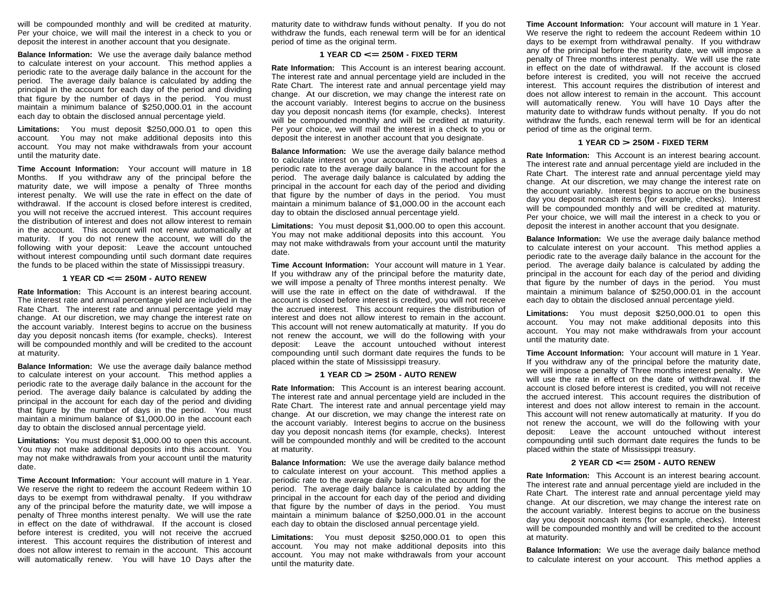will be compounded monthly and will be credited at maturity. Per your choice, we will mail the interest in a check to you or deposit the interest in another account that you designate.

**Balance Information:** We use the average daily balance method to calculate interest on your account. This method applies a periodic rate to the average daily balance in the account for the period. The average daily balance is calculated by adding the principal in the account for each day of the period and dividing that figure by the number of days in the period. You must maintain a minimum balance of \$250,000.01 in the account each day to obtain the disclosed annual percentage yield.

**Limitations:** You must deposit \$250,000.01 to open this account. You may not make additional deposits into this account. You may not make withdrawals from your account until the maturity date.

**Time Account Information:** Your account will mature in 18 Months. If you withdraw any of the principal before the maturity date, we will impose a penalty of Three months interest penalty. We will use the rate in effect on the date of withdrawal. If the account is closed before interest is credited, you will not receive the accrued interest. This account requires the distribution of interest and does not allow interest to remain in the account. This account will not renew automatically at maturity. If you do not renew the account, we will do the following with your deposit: Leave the account untouched without interest compounding until such dormant date requires the funds to be placed within the state of Mississippi treasury.

#### **<sup>1</sup> YEAR CD <= 250M - AUTO RENEW**

**Rate Information:** This Account is an interest bearing account. The interest rate and annual percentage yield are included in the Rate Chart. The interest rate and annual percentage yield may change. At our discretion, we may change the interest rate on the account variably. Interest begins to accrue on the business day you deposit noncash items (for example, checks). Interest will be compounded monthly and will be credited to the account at maturity.

**Balance Information:** We use the average daily balance method to calculate interest on your account. This method applies a periodic rate to the average daily balance in the account for the period. The average daily balance is calculated by adding the principal in the account for each day of the period and dividing that figure by the number of days in the period. You must maintain a minimum balance of \$1,000.00 in the account each day to obtain the disclosed annual percentage yield.

**Limitations:** You must deposit \$1,000.00 to open this account. You may not make additional deposits into this account. You may not make withdrawals from your account until the maturity date.

**Time Account Information:** Your account will mature in 1 Year. We reserve the right to redeem the account Redeem within 10 days to be exempt from withdrawal penalty. If you withdraw any of the principal before the maturity date, we will impose a penalty of Three months interest penalty. We will use the rate in effect on the date of withdrawal. If the account is closed before interest is credited, you will not receive the accrued interest. This account requires the distribution of interest and does not allow interest to remain in the account. This account will automatically renew. You will have 10 Days after the

maturity date to withdraw funds without penalty. If you do not withdraw the funds, each renewal term will be for an identical period of time as the original term.

### **<sup>1</sup> YEAR CD <= 250M - FIXED TERM**

**Rate Information:** This Account is an interest bearing account. The interest rate and annual percentage yield are included in the Rate Chart. The interest rate and annual percentage yield may change. At our discretion, we may change the interest rate on the account variably. Interest begins to accrue on the business day you deposit noncash items (for example, checks). Interest will be compounded monthly and will be credited at maturity. Per your choice, we will mail the interest in a check to you or deposit the interest in another account that you designate.

**Balance Information:** We use the average daily balance method to calculate interest on your account. This method applies a periodic rate to the average daily balance in the account for the period. The average daily balance is calculated by adding the principal in the account for each day of the period and dividing that figure by the number of days in the period. You must maintain a minimum balance of \$1,000.00 in the account each day to obtain the disclosed annual percentage yield.

**Limitations:** You must deposit \$1,000.00 to open this account. You may not make additional deposits into this account. You may not make withdrawals from your account until the maturity date.

**Time Account Information:** Your account will mature in 1 Year. If you withdraw any of the principal before the maturity date, we will impose a penalty of Three months interest penalty. We will use the rate in effect on the date of withdrawal. If the account is closed before interest is credited, you will not receive the accrued interest. This account requires the distribution of interest and does not allow interest to remain in the account. This account will not renew automatically at maturity. If you do not renew the account, we will do the following with your deposit: Leave the account untouched without interest compounding until such dormant date requires the funds to be placed within the state of Mississippi treasury.

# **<sup>1</sup> YEAR CD > 250M - AUTO RENEW**

**Rate Information:** This Account is an interest bearing account. The interest rate and annual percentage yield are included in the Rate Chart. The interest rate and annual percentage yield may change. At our discretion, we may change the interest rate on the account variably. Interest begins to accrue on the business day you deposit noncash items (for example, checks). Interest will be compounded monthly and will be credited to the account at maturity.

**Balance Information:** We use the average daily balance method to calculate interest on your account. This method applies a periodic rate to the average daily balance in the account for the period. The average daily balance is calculated by adding the principal in the account for each day of the period and dividing that figure by the number of days in the period. You must maintain a minimum balance of \$250,000.01 in the account each day to obtain the disclosed annual percentage yield.

**Limitations:** You must deposit \$250,000.01 to open this account. You may not make additional deposits into this account. You may not make withdrawals from your account until the maturity date.

**Time Account Information:** Your account will mature in 1 Year. We reserve the right to redeem the account Redeem within 10 days to be exempt from withdrawal penalty. If you withdraw any of the principal before the maturity date, we will impose a penalty of Three months interest penalty. We will use the rate in effect on the date of withdrawal. If the account is closed before interest is credited, you will not receive the accrued interest. This account requires the distribution of interest and does not allow interest to remain in the account. This account will automatically renew. You will have 10 Days after the maturity date to withdraw funds without penalty. If you do not withdraw the funds, each renewal term will be for an identical period of time as the original term.

### **<sup>1</sup> YEAR CD > 250M - FIXED TERM**

**Rate Information:** This Account is an interest bearing account. The interest rate and annual percentage yield are included in the Rate Chart. The interest rate and annual percentage yield may change. At our discretion, we may change the interest rate on the account variably. Interest begins to accrue on the business day you deposit noncash items (for example, checks). Interest will be compounded monthly and will be credited at maturity. Per your choice, we will mail the interest in a check to you or deposit the interest in another account that you designate.

**Balance Information:** We use the average daily balance method to calculate interest on your account. This method applies a periodic rate to the average daily balance in the account for the period. The average daily balance is calculated by adding the principal in the account for each day of the period and dividing that figure by the number of days in the period. You must maintain a minimum balance of \$250,000.01 in the account each day to obtain the disclosed annual percentage yield.

**Limitations:** You must deposit \$250,000.01 to open this account. You may not make additional deposits into this account. You may not make withdrawals from your account until the maturity date.

**Time Account Information:** Your account will mature in 1 Year. If you withdraw any of the principal before the maturity date, we will impose a penalty of Three months interest penalty. We will use the rate in effect on the date of withdrawal. If the account is closed before interest is credited, you will not receive the accrued interest. This account requires the distribution of interest and does not allow interest to remain in the account. This account will not renew automatically at maturity. If you do not renew the account, we will do the following with your deposit: Leave the account untouched without interest compounding until such dormant date requires the funds to be placed within the state of Mississippi treasury.

#### **<sup>2</sup> YEAR CD <= 250M - AUTO RENEW**

**Rate Information:** This Account is an interest bearing account. The interest rate and annual percentage yield are included in the Rate Chart. The interest rate and annual percentage yield may change. At our discretion, we may change the interest rate on the account variably. Interest begins to accrue on the business day you deposit noncash items (for example, checks). Interest will be compounded monthly and will be credited to the account at maturity.

**Balance Information:** We use the average daily balance method to calculate interest on your account. This method applies a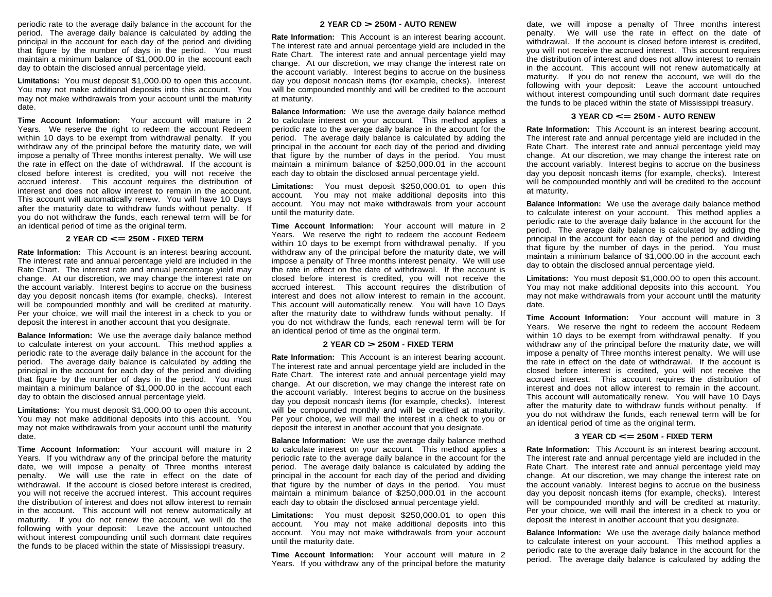periodic rate to the average daily balance in the account for the period. The average daily balance is calculated by adding the principal in the account for each day of the period and dividing that figure by the number of days in the period. You must maintain a minimum balance of \$1,000.00 in the account each day to obtain the disclosed annual percentage yield.

**Limitations:** You must deposit \$1,000.00 to open this account. You may not make additional deposits into this account. You may not make withdrawals from your account until the maturity date.

**Time Account Information:** Your account will mature in 2 Years. We reserve the right to redeem the account Redeem within 10 days to be exempt from withdrawal penalty. If you withdraw any of the principal before the maturity date, we will impose a penalty of Three months interest penalty. We will use the rate in effect on the date of withdrawal. If the account is closed before interest is credited, you will not receive the accrued interest. This account requires the distribution of interest and does not allow interest to remain in the account. This account will automatically renew. You will have 10 Days after the maturity date to withdraw funds without penalty. If you do not withdraw the funds, each renewal term will be for an identical period of time as the original term.

# **<sup>2</sup> YEAR CD <= 250M - FIXED TERM**

**Rate Information:** This Account is an interest bearing account. The interest rate and annual percentage yield are included in the Rate Chart. The interest rate and annual percentage yield may change. At our discretion, we may change the interest rate on the account variably. Interest begins to accrue on the business day you deposit noncash items (for example, checks). Interest will be compounded monthly and will be credited at maturity. Per your choice, we will mail the interest in a check to you or deposit the interest in another account that you designate.

**Balance Information:** We use the average daily balance method to calculate interest on your account. This method applies a periodic rate to the average daily balance in the account for the period. The average daily balance is calculated by adding the principal in the account for each day of the period and dividing that figure by the number of days in the period. You must maintain a minimum balance of \$1,000.00 in the account each day to obtain the disclosed annual percentage yield.

**Limitations:** You must deposit \$1,000.00 to open this account. You may not make additional deposits into this account. You may not make withdrawals from your account until the maturity date.

**Time Account Information:** Your account will mature in 2 Years. If you withdraw any of the principal before the maturity date, we will impose a penalty of Three months interest penalty. We will use the rate in effect on the date of withdrawal. If the account is closed before interest is credited, you will not receive the accrued interest. This account requires the distribution of interest and does not allow interest to remain in the account. This account will not renew automatically at maturity. If you do not renew the account, we will do the following with your deposit: Leave the account untouched without interest compounding until such dormant date requires the funds to be placed within the state of Mississippi treasury.

#### **<sup>2</sup> YEAR CD > 250M - AUTO RENEW**

**Rate Information:** This Account is an interest bearing account. The interest rate and annual percentage yield are included in the Rate Chart. The interest rate and annual percentage yield may change. At our discretion, we may change the interest rate on the account variably. Interest begins to accrue on the business day you deposit noncash items (for example, checks). Interest will be compounded monthly and will be credited to the account at maturity.

**Balance Information:** We use the average daily balance method to calculate interest on your account. This method applies a periodic rate to the average daily balance in the account for the period. The average daily balance is calculated by adding the principal in the account for each day of the period and dividing that figure by the number of days in the period. You must maintain a minimum balance of \$250,000.01 in the account each day to obtain the disclosed annual percentage yield.

**Limitations:** You must deposit \$250,000.01 to open this account. You may not make additional deposits into this account. You may not make withdrawals from your account until the maturity date.

**Time Account Information:** Your account will mature in 2 Years. We reserve the right to redeem the account Redeem within 10 days to be exempt from withdrawal penalty. If you withdraw any of the principal before the maturity date, we will impose a penalty of Three months interest penalty. We will use the rate in effect on the date of withdrawal. If the account is closed before interest is credited, you will not receive the accrued interest. This account requires the distribution of interest and does not allow interest to remain in the account. This account will automatically renew. You will have 10 Days after the maturity date to withdraw funds without penalty. If you do not withdraw the funds, each renewal term will be for an identical period of time as the original term.

#### **<sup>2</sup> YEAR CD > 250M - FIXED TERM**

**Rate Information:** This Account is an interest bearing account. The interest rate and annual percentage yield are included in the Rate Chart. The interest rate and annual percentage yield may change. At our discretion, we may change the interest rate on the account variably. Interest begins to accrue on the business day you deposit noncash items (for example, checks). Interest will be compounded monthly and will be credited at maturity. Per your choice, we will mail the interest in a check to you or deposit the interest in another account that you designate.

**Balance Information:** We use the average daily balance method to calculate interest on your account. This method applies a periodic rate to the average daily balance in the account for the period. The average daily balance is calculated by adding the principal in the account for each day of the period and dividing that figure by the number of days in the period. You must maintain a minimum balance of \$250,000.01 in the account each day to obtain the disclosed annual percentage yield.

**Limitations:** You must deposit \$250,000.01 to open this account. You may not make additional deposits into this account. You may not make withdrawals from your account until the maturity date.

**Time Account Information:** Your account will mature in 2 Years. If you withdraw any of the principal before the maturity

date, we will impose a penalty of Three months interest penalty. We will use the rate in effect on the date of withdrawal. If the account is closed before interest is credited, you will not receive the accrued interest. This account requires the distribution of interest and does not allow interest to remain in the account. This account will not renew automatically at maturity. If you do not renew the account, we will do the following with your deposit: Leave the account untouched without interest compounding until such dormant date requires the funds to be placed within the state of Mississippi treasury.

#### **<sup>3</sup> YEAR CD <= 250M - AUTO RENEW**

**Rate Information:** This Account is an interest bearing account. The interest rate and annual percentage yield are included in the Rate Chart. The interest rate and annual percentage yield may change. At our discretion, we may change the interest rate on the account variably. Interest begins to accrue on the business day you deposit noncash items (for example, checks). Interest will be compounded monthly and will be credited to the account at maturity.

**Balance Information:** We use the average daily balance method to calculate interest on your account. This method applies a periodic rate to the average daily balance in the account for the period. The average daily balance is calculated by adding the principal in the account for each day of the period and dividing that figure by the number of days in the period. You must maintain a minimum balance of \$1,000.00 in the account each day to obtain the disclosed annual percentage yield.

**Limitations:** You must deposit \$1,000.00 to open this account. You may not make additional deposits into this account. You may not make withdrawals from your account until the maturity date.

**Time Account Information:** Your account will mature in 3 Years. We reserve the right to redeem the account Redeem within 10 days to be exempt from withdrawal penalty. If you withdraw any of the principal before the maturity date, we will impose a penalty of Three months interest penalty. We will use the rate in effect on the date of withdrawal. If the account is closed before interest is credited, you will not receive the accrued interest. This account requires the distribution of interest and does not allow interest to remain in the account. This account will automatically renew. You will have 10 Days after the maturity date to withdraw funds without penalty. If you do not withdraw the funds, each renewal term will be for an identical period of time as the original term.

#### **<sup>3</sup> YEAR CD <= 250M - FIXED TERM**

**Rate Information:** This Account is an interest bearing account. The interest rate and annual percentage yield are included in the Rate Chart. The interest rate and annual percentage yield may change. At our discretion, we may change the interest rate on the account variably. Interest begins to accrue on the business day you deposit noncash items (for example, checks). Interest will be compounded monthly and will be credited at maturity. Per your choice, we will mail the interest in a check to you or deposit the interest in another account that you designate.

**Balance Information:** We use the average daily balance method to calculate interest on your account. This method applies a periodic rate to the average daily balance in the account for the period. The average daily balance is calculated by adding the